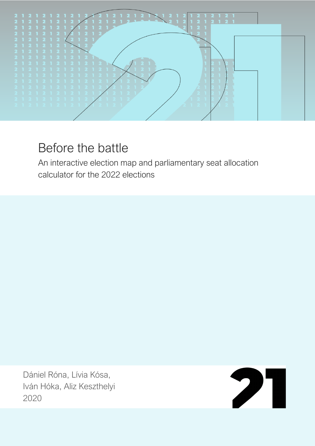

## Before the battle

An interactive election map and parliamentary seat allocation calculator for the 2022 elections

Dániel Róna, Lívia Kósa, Iván Hóka, Aliz Keszthelyi 2020

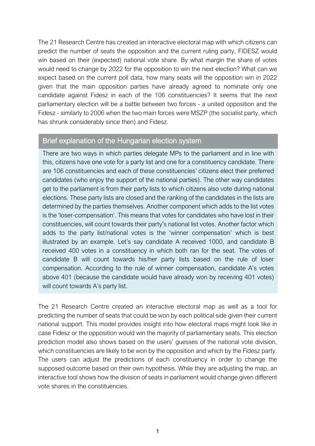The 21 Research Centre has created an interactive electoral map with which citizens can predict the number of seats the opposition and the current ruling party, FIDESZ would win based on their (expected) national vote share. By what margin the share of votes would need to change by 2022 for the opposition to win the next election? What can we expect based on the current poll data, how many seats will the opposition win in 2022 given that the main opposition parties have already agreed to nominate only one candidate against Fidesz in each of the 106 constituencies? It seems that the next parliamentary election will be a battle between two forces - a united opposition and the Fidesz - similarly to 2006 when the two main forces were MSZP (the socialist party, which has shrunk considerably since then) and Fidesz.

## Brief explanation of the Hungarian election system

There are two ways in which parties delegate MPs to the parliament and in line with this, citizens have one vote for a party list and one for a constituency candidate. There are 106 constituencies and each of these constituencies' citizens elect their preferred candidates (who enjoy the support of the national parties). The other way candidates get to the parliament is from their party lists to which citizens also vote during national elections. These party lists are closed and the ranking of the candidates in the lists are determined by the parties themselves. Another component which adds to the list votes is the 'loser-compensation'. This means that votes for candidates who have lost in their constituencies, will count towards their party's national list votes. Another factor which adds to the party list/national votes is the 'winner compensation' which is best illustrated by an example. Let's say candidate A received 1000, and candidate B received 400 votes in a constituency in which both ran for the seat. The votes of candidate B will count towards his/her party lists based on the rule of loser compensation. According to the rule of winner compensation, candidate A's votes above 401 (because the candidate would have already won by receiving 401 votes) will count towards A's party list.

The 21 Research Centre created an interactive electoral map as well as a tool for predicting the number of seats that could be won by each political side given their current national support. This model provides insight into how electoral maps might look like in case Fidesz or the opposition would win the majority of parliamentary seats. This election prediction model also shows based on the users' guesses of the national vote division, which constituencies are likely to be won by the opposition and which by the Fidesz party. The users can adjust the predictions of each constituency in order to change the supposed outcome based on their own hypothesis. While they are adjusting the map, an interactive tool shows how the division of seats in parliament would change given different vote shares in the constituencies.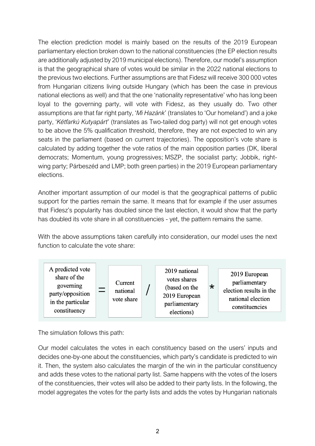The election prediction model is mainly based on the results of the 2019 European parliamentary election broken down to the national constituencies (the EP election results are additionally adjusted by 2019 municipal elections). Therefore, our model's assumption is that the geographical share of votes would be similar in the 2022 national elections to the previous two elections. Further assumptions are that Fidesz will receive 300 000 votes from Hungarian citizens living outside Hungary (which has been the case in previous national elections as well) and that the one 'nationality representative' who has long been loyal to the governing party, will vote with Fidesz, as they usually do. Two other assumptions are that far right party, '*Mi Hazánk*' (translates to 'Our homeland') and a joke party, '*Kétfarkú Kutyapárt*' (translates as Two-tailed dog party) will not get enough votes to be above the 5% qualification threshold, therefore, they are not expected to win any seats in the parliament (based on current trajectories). The opposition's vote share is calculated by adding together the vote ratios of the main opposition parties (DK, liberal democrats; Momentum, young progressives; MSZP, the socialist party; Jobbik, rightwing party; Párbeszéd and LMP; both green parties) in the 2019 European parliamentary elections.

Another important assumption of our model is that the geographical patterns of public support for the parties remain the same. It means that for example if the user assumes that Fidesz's popularity has doubled since the last election, it would show that the party has doubled its vote share in all constituencies - yet, the pattern remains the same.

With the above assumptions taken carefully into consideration, our model uses the next function to calculate the vote share:



The simulation follows this path:

Our model calculates the votes in each constituency based on the users' inputs and decides one-by-one about the constituencies, which party's candidate is predicted to win it. Then, the system also calculates the margin of the win in the particular constituency and adds these votes to the national party list. Same happens with the votes of the losers of the constituencies, their votes will also be added to their party lists. In the following, the model aggregates the votes for the party lists and adds the votes by Hungarian nationals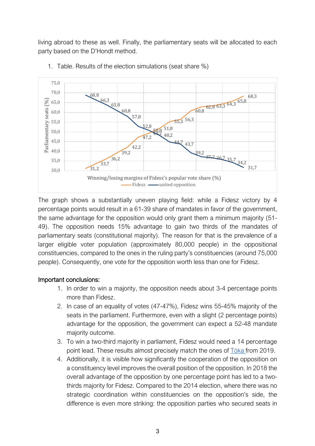living abroad to these as well. Finally, the parliamentary seats will be allocated to each party based on the D'Hondt method.



1. Table. Results of the election simulations (seat share %)

The graph shows a substantially uneven playing field: while a Fidesz victory by 4 percentage points would result in a 61-39 share of mandates in favor of the government, the same advantage for the opposition would only grant them a minimum majority (51- 49). The opposition needs 15% advantage to gain two thirds of the mandates of parliamentary seats (constitutional majority). The reason for that is the prevalence of a larger eligible voter population (approximately 80,000 people) in the oppositional constituencies, compared to the ones in the ruling party's constituencies (around 75,000 people). Consequently, one vote for the opposition worth less than one for Fidesz.

## Important conclusions:

- 1. In order to win a majority, the opposition needs about 3-4 percentage points more than Fidesz.
- 2. In case of an equality of votes (47-47%), Fidesz wins 55-45% majority of the seats in the parliament. Furthermore, even with a slight (2 percentage points) advantage for the opposition, the government can expect a 52-48 mandate majority outcome.
- 3. To win a two-third majority in parliament, Fidesz would need a 14 percentage point lead. These results almost precisely match the ones of Tóka from 2019.
- 4. Additionally, it is visible how significantly the cooperation of the opposition on a constituency level improves the overall position of the opposition. In 2018 the overall advantage of the opposition by one percentage point has led to a twothirds majority for Fidesz. Compared to the 2014 election, where there was no strategic coordination within constituencies on the opposition's side, the difference is even more striking: the opposition parties who secured seats in